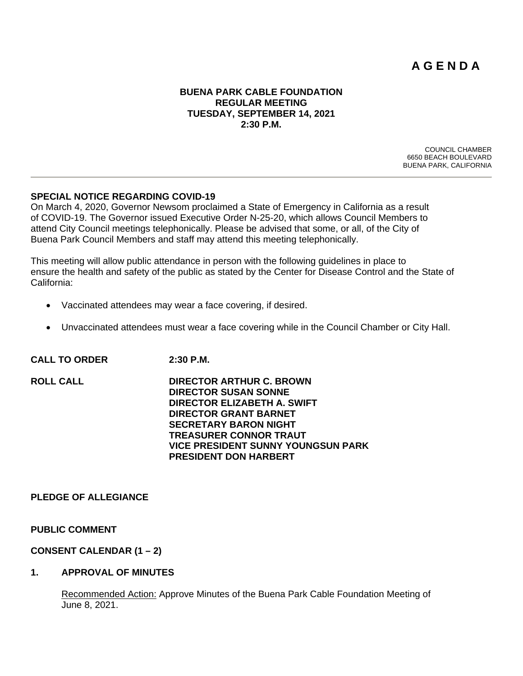# **A G E N D A**

#### **BUENA PARK CABLE FOUNDATION REGULAR MEETING TUESDAY, SEPTEMBER 14, 2021 2:30 P.M.**

COUNCIL CHAMBER 6650 BEACH BOULEVARD BUENA PARK, CALIFORNIA

#### **SPECIAL NOTICE REGARDING COVID-19**

On March 4, 2020, Governor Newsom proclaimed a State of Emergency in California as a result of COVID-19. The Governor issued Executive Order N-25-20, which allows Council Members to attend City Council meetings telephonically. Please be advised that some, or all, of the City of Buena Park Council Members and staff may attend this meeting telephonically.

This meeting will allow public attendance in person with the following guidelines in place to ensure the health and safety of the public as stated by the Center for Disease Control and the State of California:

- Vaccinated attendees may wear a face covering, if desired.
- Unvaccinated attendees must wear a face covering while in the Council Chamber or City Hall.

### **CALL TO ORDER 2:30 P.M.**

**ROLL CALL DIRECTOR ARTHUR C. BROWN DIRECTOR SUSAN SONNE DIRECTOR ELIZABETH A. SWIFT DIRECTOR GRANT BARNET SECRETARY BARON NIGHT TREASURER CONNOR TRAUT VICE PRESIDENT SUNNY YOUNGSUN PARK PRESIDENT DON HARBERT**

## **PLEDGE OF ALLEGIANCE**

**PUBLIC COMMENT**

## **CONSENT CALENDAR (1 – 2)**

#### **1. APPROVAL OF MINUTES**

Recommended Action: Approve Minutes of the Buena Park Cable Foundation Meeting of June 8, 2021.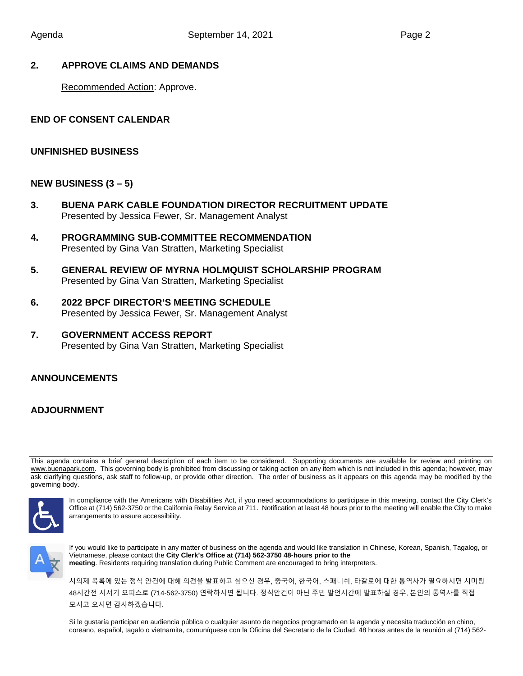## **2. APPROVE CLAIMS AND DEMANDS**

Recommended Action: Approve.

**END OF CONSENT CALENDAR**

## **UNFINISHED BUSINESS**

## **NEW BUSINESS (3 – 5)**

- **3. BUENA PARK CABLE FOUNDATION DIRECTOR RECRUITMENT UPDATE** Presented by Jessica Fewer, Sr. Management Analyst
- **4. PROGRAMMING SUB-COMMITTEE RECOMMENDATION** Presented by Gina Van Stratten, Marketing Specialist
- **5. GENERAL REVIEW OF MYRNA HOLMQUIST SCHOLARSHIP PROGRAM** Presented by Gina Van Stratten, Marketing Specialist
- **6. 2022 BPCF DIRECTOR'S MEETING SCHEDULE** Presented by Jessica Fewer, Sr. Management Analyst
- **7. GOVERNMENT ACCESS REPORT**  Presented by Gina Van Stratten, Marketing Specialist

## **ANNOUNCEMENTS**

# **ADJOURNMENT**

This agenda contains a brief general description of each item to be considered. Supporting documents are available for review and printing on [www.buenapark.com.](http://www.buenapark.com/) This governing body is prohibited from discussing or taking action on any item which is not included in this agenda; however, may ask clarifying questions, ask staff to follow-up, or provide other direction. The order of business as it appears on this agenda may be modified by the governing body.



In compliance with the Americans with Disabilities Act, if you need accommodations to participate in this meeting, contact the City Clerk's Office at (714) 562-3750 or the California Relay Service at 711. Notification at least 48 hours prior to the meeting will enable the City to make arrangements to assure accessibility.



If you would like to participate in any matter of business on the agenda and would like translation in Chinese, Korean, Spanish, Tagalog, or Vietnamese, please contact the **City Clerk's Office at (714) 562-3750 48-hours prior to the meeting**. Residents requiring translation during Public Comment are encouraged to bring interpreters.

시의제 목록에 있는 정식 안건에 대해 의견을 발표하고 싶으신 경우, 중국어, 한국어, 스패니쉬, 타갈로에 대한 통역사가 필요하시면 시미팅 48시간전 시서기 오피스로 (714-562-3750) 연락하시면 됩니다. 정식안건이 아닌 주민 발언시간에 발표하실 경우, 본인의 통역사를 직접 모시고 오시면 감사하겠습니다.

Si le gustaría participar en audiencia pública o cualquier asunto de negocios programado en la agenda y necesita traducción en chino, coreano, español, tagalo o vietnamita, comuníquese con la Oficina del Secretario de la Ciudad, 48 horas antes de la reunión al (714) 562